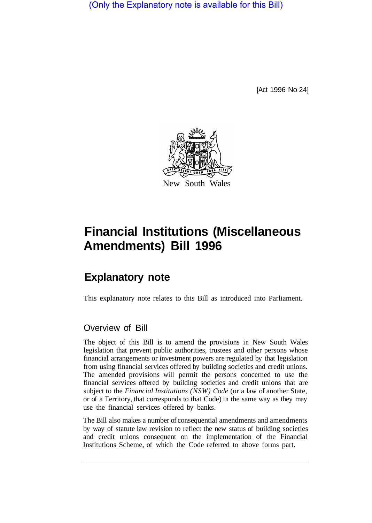(Only the Explanatory note is available for this Bill)

[Act 1996 No 24]



# **Financial Institutions (Miscellaneous Amendments) Bill 1996**

## **Explanatory note**

This explanatory note relates to this Bill as introduced into Parliament.

#### Overview of Bill

The object of this Bill is to amend the provisions in New South Wales legislation that prevent public authorities, trustees and other persons whose financial arrangements or investment powers are regulated by that legislation from using financial services offered by building societies and credit unions. The amended provisions will permit the persons concerned to use the financial services offered by building societies and credit unions that are subject to the *Financial Institutions (NSW) Code* (or a law of another State, or of a Territory, that corresponds to that Code) in the same way as they may use the financial services offered by banks.

The Bill also makes a number of consequential amendments and amendments by way of statute law revision to reflect the new status of building societies and credit unions consequent on the implementation of the Financial Institutions Scheme, of which the Code referred to above forms part.